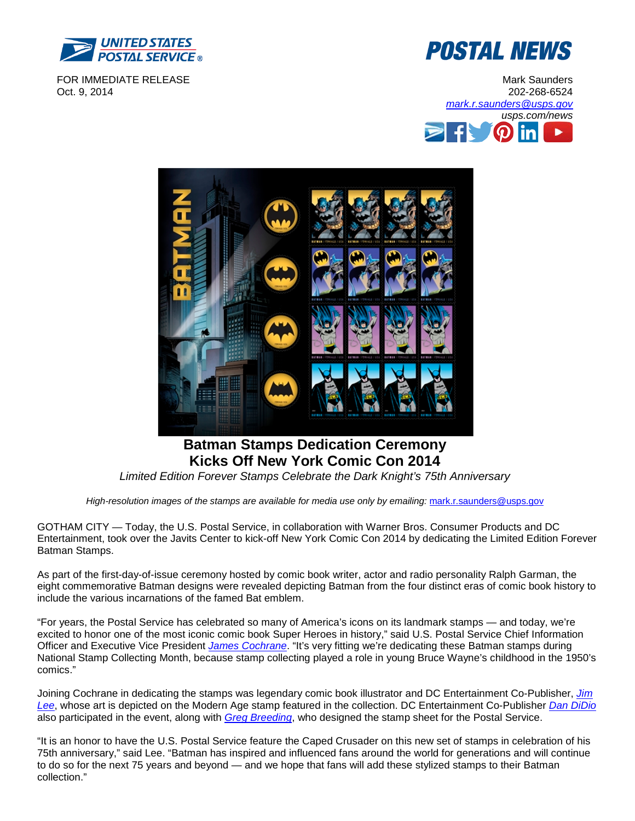

FOR IMMEDIATE RELEASE Oct. 9, 2014







# **Batman Stamps Dedication Ceremony Kicks Off New York Comic Con 2014**

*Limited Edition Forever Stamps Celebrate the Dark Knight's 75th Anniversary*

*High-resolution images of the stamps are available for media use only by emailing:* [mark.r.saunders@usps.gov](mailto:mark.r.saunders@usps.gov)

GOTHAM CITY — Today, the U.S. Postal Service, in collaboration with Warner Bros. Consumer Products and DC Entertainment, took over the Javits Center to kick-off New York Comic Con 2014 by dedicating the Limited Edition Forever Batman Stamps.

As part of the first-day-of-issue ceremony hosted by comic book writer, actor and radio personality Ralph Garman, the eight commemorative Batman designs were revealed depicting Batman from the four distinct eras of comic book history to include the various incarnations of the famed Bat emblem.

"For years, the Postal Service has celebrated so many of America's icons on its landmark stamps — and today, we're excited to honor one of the most iconic comic book Super Heroes in history," said U.S. Postal Service Chief Information Officer and Executive Vice President *[James Cochrane](http://about.usps.com/who-we-are/leadership/pmg-exec-comm.htm#p=4)*. "It's very fitting we're dedicating these Batman stamps during National Stamp Collecting Month, because stamp collecting played a role in young Bruce Wayne's childhood in the 1950's comics."

Joining Cochrane in dedicating the stamps was legendary comic book illustrator and DC Entertainment Co-Publisher, *[Jim](http://www.dccomics.com/talent/jim-lee)  [Lee](http://www.dccomics.com/talent/jim-lee)*, whose art is depicted on the Modern Age stamp featured in the collection. DC Entertainment Co-Publisher *[Dan DiDio](http://www.dcentertainment.com/management/dan-didio)* also participated in the event, along with *[Greg Breeding](http://uspsstamps.com/people/greg-breeding)*, who designed the stamp sheet for the Postal Service.

"It is an honor to have the U.S. Postal Service feature the Caped Crusader on this new set of stamps in celebration of his 75th anniversary," said Lee. "Batman has inspired and influenced fans around the world for generations and will continue to do so for the next 75 years and beyond — and we hope that fans will add these stylized stamps to their Batman collection."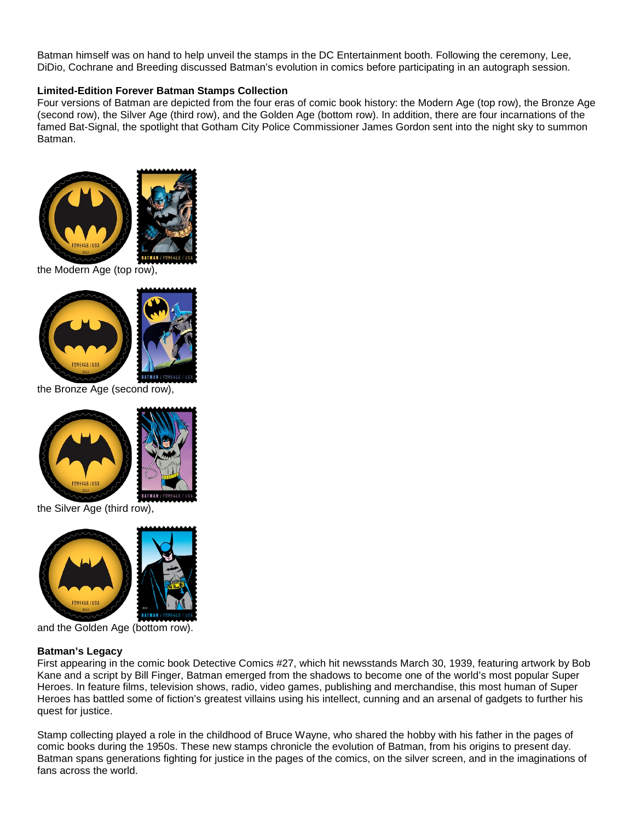Batman himself was on hand to help unveil the stamps in the DC Entertainment booth. Following the ceremony, Lee, DiDio, Cochrane and Breeding discussed Batman's evolution in comics before participating in an autograph session.

#### **Limited-Edition Forever Batman Stamps Collection**

Four versions of Batman are depicted from the four eras of comic book history: the Modern Age (top row), the Bronze Age (second row), the Silver Age (third row), and the Golden Age (bottom row). In addition, there are four incarnations of the famed Bat-Signal, the spotlight that Gotham City Police Commissioner James Gordon sent into the night sky to summon Batman.



the Modern Age (top row),



**BATMAN / FORFALE** 

the Bronze Age (second row),





the Silver Age (third row),





and the Golden Age (bottom row).

#### **Batman's Legacy**

First appearing in the comic book Detective Comics #27, which hit newsstands March 30, 1939, featuring artwork by Bob Kane and a script by Bill Finger, Batman emerged from the shadows to become one of the world's most popular Super Heroes. In feature films, television shows, radio, video games, publishing and merchandise, this most human of Super Heroes has battled some of fiction's greatest villains using his intellect, cunning and an arsenal of gadgets to further his quest for justice.

Stamp collecting played a role in the childhood of Bruce Wayne, who shared the hobby with his father in the pages of comic books during the 1950s. These new stamps chronicle the evolution of Batman, from his origins to present day. Batman spans generations fighting for justice in the pages of the comics, on the silver screen, and in the imaginations of fans across the world.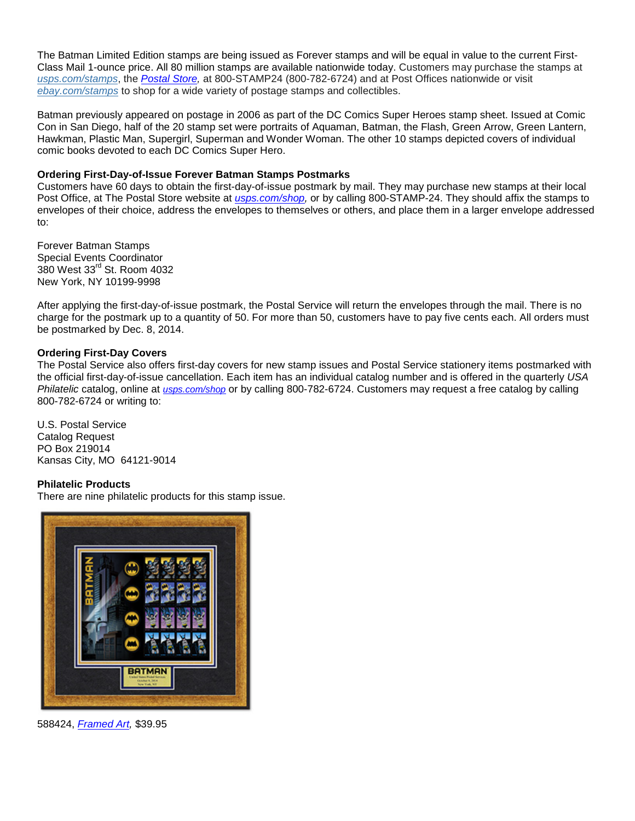The Batman Limited Edition stamps are being issued as Forever stamps and will be equal in value to the current First-Class Mail 1-ounce price. All 80 million stamps are available nationwide today. Customers may purchase the stamps at *[usps.com/stamps](http://www.usps.com/stamps)*, the *[Postal Store,](https://store.usps.com/store/browse/productDetailSingleSku.jsp?productId=S_519904)* at 800-STAMP24 (800-782-6724) and at Post Offices nationwide or visit *[ebay.com/stamps](http://www.ebay.com/stamps)* to shop for a wide variety of postage stamps and collectibles.

Batman previously appeared on postage in 2006 as part of the DC Comics Super Heroes stamp sheet. Issued at Comic Con in San Diego, half of the 20 stamp set were portraits of Aquaman, Batman, the Flash, Green Arrow, Green Lantern, Hawkman, Plastic Man, Supergirl, Superman and Wonder Woman. The other 10 stamps depicted covers of individual comic books devoted to each DC Comics Super Hero.

### **Ordering First-Day-of-Issue Forever Batman Stamps Postmarks**

Customers have 60 days to obtain the first-day-of-issue postmark by mail. They may purchase new stamps at their local Post Office, at The Postal Store website at *[usps.com/shop,](http://www.usps.com/shop)* or by calling 800-STAMP-24. They should affix the stamps to envelopes of their choice, address the envelopes to themselves or others, and place them in a larger envelope addressed to:

Forever Batman Stamps Special Events Coordinator 380 West 33rd St. Room 4032 New York, NY 10199-9998

After applying the first-day-of-issue postmark, the Postal Service will return the envelopes through the mail. There is no charge for the postmark up to a quantity of 50. For more than 50, customers have to pay five cents each. All orders must be postmarked by Dec. 8, 2014.

### **Ordering First-Day Covers**

The Postal Service also offers first-day covers for new stamp issues and Postal Service stationery items postmarked with the official first-day-of-issue cancellation. Each item has an individual catalog number and is offered in the quarterly *USA Philatelic* catalog, online at *[usps.com/shop](https://store.usps.com/store/)* or by calling 800-782-6724. Customers may request a free catalog by calling 800-782-6724 or writing to:

U.S. Postal Service Catalog Request PO Box 219014 Kansas City, MO 64121-9014

## **Philatelic Products**

[There are nine philatelic products for this stamp](https://store.usps.com/store/browse/gadgets/detailZoomProduct.jsp?productId=S_588424) issue.



588424, *[Framed Art,](https://store.usps.com/store/browse/productDetailSingleSku.jsp?productId=S_588424&categoryId=stamp-framed-art)* \$39.95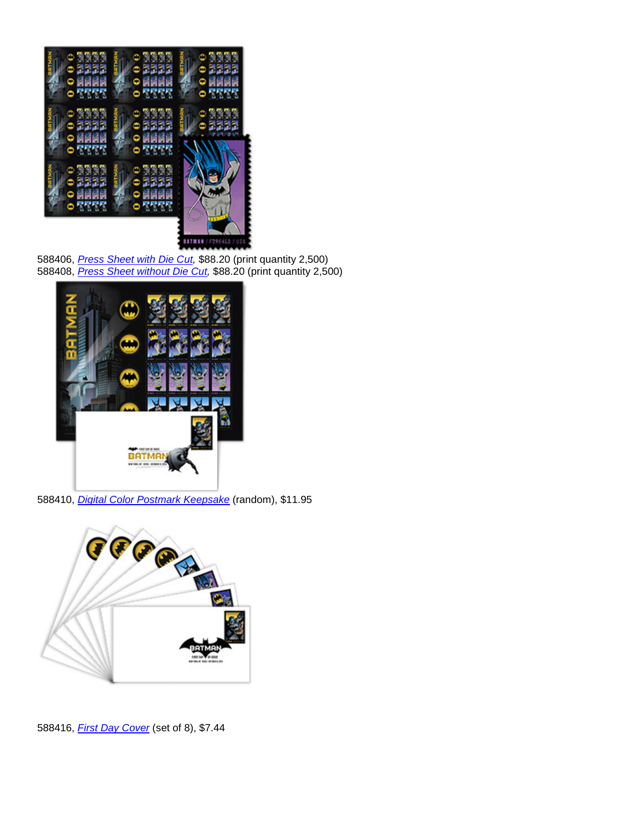

588406, *[Press Sheet with Die Cut,](https://store.usps.com/store/browse/productDetailSingleSku.jsp?productId=P_588406&categoryId=stamp-collectors)* \$88.20 (print quantity 2,500) 588408, *[Press Sheet without Die Cut,](https://store.usps.com/store/browse/productDetailSingleSku.jsp?productId=P_588408&categoryId=stamp-collectors)* \$88.20 (print quantity 2,500)



588410, *[Digital Color Postmark Keepsake](https://store.usps.com/store/browse/productDetailSingleSku.jsp?productId=P_588410&categoryId=stamp-collectors)* (random), \$11.95



588416, *[First Day Cover](https://store.usps.com/store/browse/productDetailSingleSku.jsp?productId=P_588416&categoryId=stamp-collectors)* (set of 8), \$7.44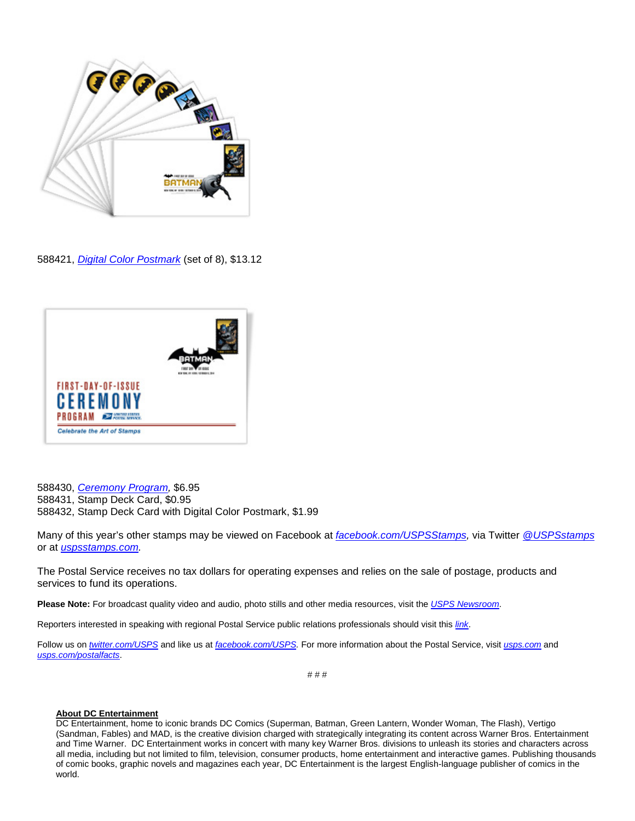

588421, *[Digital Color Postmark](https://store.usps.com/store/browse/productDetailSingleSku.jsp?productId=P_588421&categoryId=stamp-collectors)* (set of 8), \$13.12



588430, *[Ceremony Program,](https://store.usps.com/store/browse/productDetailSingleSku.jsp?productId=P_588430&categoryId=stamp-collectors)* \$6.95 588431, Stamp Deck Card, \$0.95 588432, Stamp Deck Card with Digital Color Postmark, \$1.99

Many of this year's other stamps may be viewed on Facebook at *[facebook.com/USPSStamps,](http://www.facebook.com/uspsstamps)* via Twitter *[@USPSstamps](http://www.twitter.com/uspsstamps)* or at *[uspsstamps.com.](http://www.uspsstamps.com/)*

The Postal Service receives no tax dollars for operating expenses and relies on the sale of postage, products and services to fund its operations.

**Please Note:** For broadcast quality video and audio, photo stills and other media resources, visit the *[USPS Newsroom](http://about.usps.com/news/welcome.htm)*.

Reporters interested in speaking with regional Postal Service public relations professionals should visit this *[link](http://about.usps.com/news/media-contacts/usps-local-media-contacts.pdf)*.

Follow us on *[twitter.com/USPS](http://www.twitter.com/usps)* and like us at *[facebook.com/USPS.](http://www.facebook.com/USPS)* For more information about the Postal Service, visit *[usps.com](https://www.usps.com/)* and *[usps.com/postalfacts](http://about.usps.com/who-we-are/postal-facts/welcome.htm)*.

# # #

#### **About DC Entertainment**

DC Entertainment, home to iconic brands DC Comics (Superman, Batman, Green Lantern, Wonder Woman, The Flash), Vertigo (Sandman, Fables) and MAD, is the creative division charged with strategically integrating its content across Warner Bros. Entertainment and Time Warner. DC Entertainment works in concert with many key Warner Bros. divisions to unleash its stories and characters across all media, including but not limited to film, television, consumer products, home entertainment and interactive games. Publishing thousands of comic books, graphic novels and magazines each year, DC Entertainment is the largest English-language publisher of comics in the world.